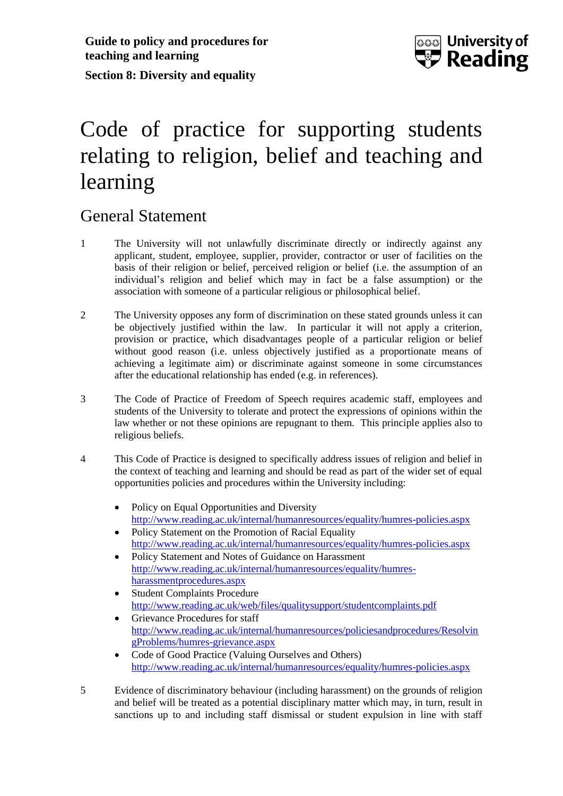

# Code of practice for supporting students relating to religion, belief and teaching and learning

### General Statement

- 1 The University will not unlawfully discriminate directly or indirectly against any applicant, student, employee, supplier, provider, contractor or user of facilities on the basis of their religion or belief, perceived religion or belief (i.e. the assumption of an individual's religion and belief which may in fact be a false assumption) or the association with someone of a particular religious or philosophical belief.
- 2 The University opposes any form of discrimination on these stated grounds unless it can be objectively justified within the law. In particular it will not apply a criterion, provision or practice, which disadvantages people of a particular religion or belief without good reason (i.e. unless objectively justified as a proportionate means of achieving a legitimate aim) or discriminate against someone in some circumstances after the educational relationship has ended (e.g. in references).
- 3 The Code of Practice of Freedom of Speech requires academic staff, employees and students of the University to tolerate and protect the expressions of opinions within the law whether or not these opinions are repugnant to them. This principle applies also to religious beliefs.
- 4 This Code of Practice is designed to specifically address issues of religion and belief in the context of teaching and learning and should be read as part of the wider set of equal opportunities policies and procedures within the University including:
	- Policy on Equal Opportunities and Diversity <http://www.reading.ac.uk/internal/humanresources/equality/humres-policies.aspx>
	- Policy Statement on the Promotion of Racial Equality <http://www.reading.ac.uk/internal/humanresources/equality/humres-policies.aspx>
	- Policy Statement and Notes of Guidance on Harassment [http://www.reading.ac.uk/internal/humanresources/equality/humres](http://www.reading.ac.uk/internal/humanresources/equality/humres-harassmentprocedures.aspx)[harassmentprocedures.aspx](http://www.reading.ac.uk/internal/humanresources/equality/humres-harassmentprocedures.aspx)
	- Student Complaints Procedure <http://www.reading.ac.uk/web/files/qualitysupport/studentcomplaints.pdf>
	- Grievance Procedures for staff [http://www.reading.ac.uk/internal/humanresources/policiesandprocedures/Resolvin](http://www.reading.ac.uk/internal/humanresources/policiesandprocedures/ResolvingProblems/humres-grievance.aspx) [gProblems/humres-grievance.aspx](http://www.reading.ac.uk/internal/humanresources/policiesandprocedures/ResolvingProblems/humres-grievance.aspx)
	- Code of Good Practice (Valuing Ourselves and Others) <http://www.reading.ac.uk/internal/humanresources/equality/humres-policies.aspx>
- 5 Evidence of discriminatory behaviour (including harassment) on the grounds of religion and belief will be treated as a potential disciplinary matter which may, in turn, result in sanctions up to and including staff dismissal or student expulsion in line with staff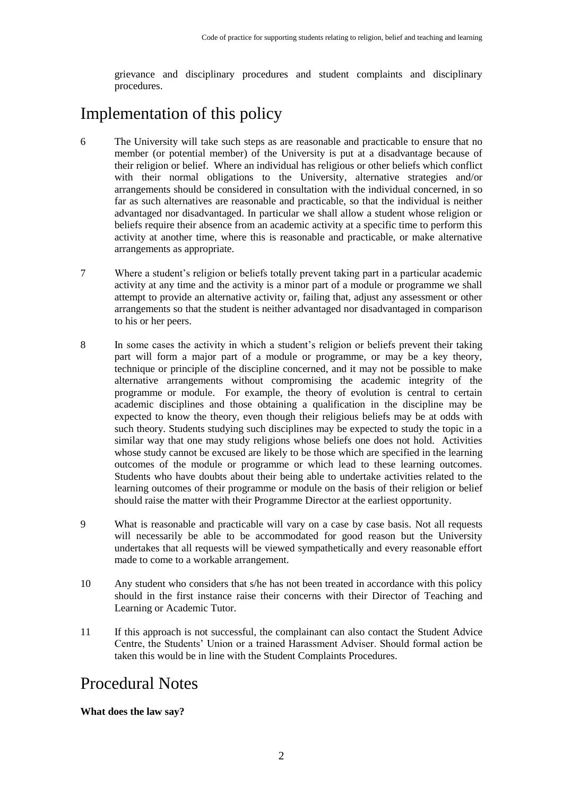grievance and disciplinary procedures and student complaints and disciplinary procedures.

## Implementation of this policy

- 6 The University will take such steps as are reasonable and practicable to ensure that no member (or potential member) of the University is put at a disadvantage because of their religion or belief. Where an individual has religious or other beliefs which conflict with their normal obligations to the University, alternative strategies and/or arrangements should be considered in consultation with the individual concerned, in so far as such alternatives are reasonable and practicable, so that the individual is neither advantaged nor disadvantaged. In particular we shall allow a student whose religion or beliefs require their absence from an academic activity at a specific time to perform this activity at another time, where this is reasonable and practicable, or make alternative arrangements as appropriate.
- 7 Where a student's religion or beliefs totally prevent taking part in a particular academic activity at any time and the activity is a minor part of a module or programme we shall attempt to provide an alternative activity or, failing that, adjust any assessment or other arrangements so that the student is neither advantaged nor disadvantaged in comparison to his or her peers.
- 8 In some cases the activity in which a student's religion or beliefs prevent their taking part will form a major part of a module or programme, or may be a key theory, technique or principle of the discipline concerned, and it may not be possible to make alternative arrangements without compromising the academic integrity of the programme or module. For example, the theory of evolution is central to certain academic disciplines and those obtaining a qualification in the discipline may be expected to know the theory, even though their religious beliefs may be at odds with such theory. Students studying such disciplines may be expected to study the topic in a similar way that one may study religions whose beliefs one does not hold. Activities whose study cannot be excused are likely to be those which are specified in the learning outcomes of the module or programme or which lead to these learning outcomes. Students who have doubts about their being able to undertake activities related to the learning outcomes of their programme or module on the basis of their religion or belief should raise the matter with their Programme Director at the earliest opportunity.
- 9 What is reasonable and practicable will vary on a case by case basis. Not all requests will necessarily be able to be accommodated for good reason but the University undertakes that all requests will be viewed sympathetically and every reasonable effort made to come to a workable arrangement.
- 10 Any student who considers that s/he has not been treated in accordance with this policy should in the first instance raise their concerns with their Director of Teaching and Learning or Academic Tutor.
- 11 If this approach is not successful, the complainant can also contact the Student Advice Centre, the Students' Union or a trained Harassment Adviser. Should formal action be taken this would be in line with the Student Complaints Procedures.

### Procedural Notes

#### **What does the law say?**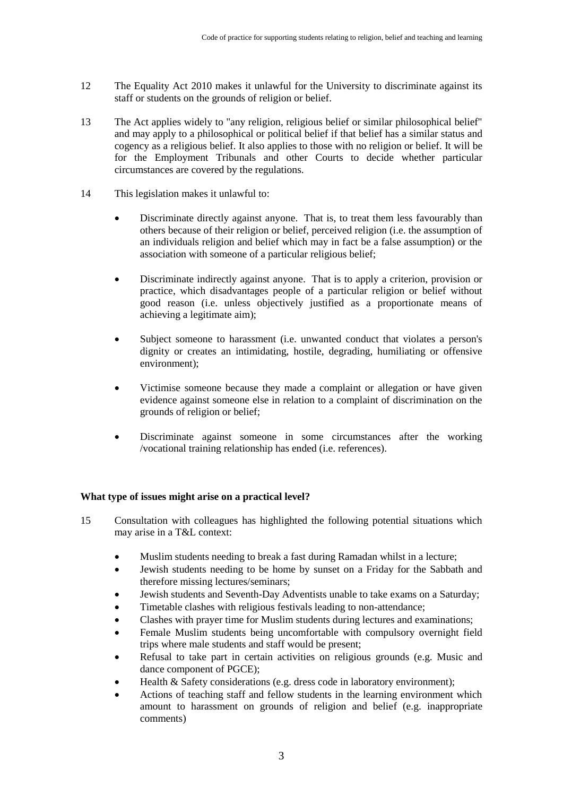- 12 The Equality Act 2010 makes it unlawful for the University to discriminate against its staff or students on the grounds of religion or belief.
- 13 The Act applies widely to "any religion, religious belief or similar philosophical belief" and may apply to a philosophical or political belief if that belief has a similar status and cogency as a religious belief. It also applies to those with no religion or belief. It will be for the Employment Tribunals and other Courts to decide whether particular circumstances are covered by the regulations.
- 14 This legislation makes it unlawful to:
	- Discriminate directly against anyone. That is, to treat them less favourably than others because of their religion or belief, perceived religion (i.e. the assumption of an individuals religion and belief which may in fact be a false assumption) or the association with someone of a particular religious belief;
	- Discriminate indirectly against anyone. That is to apply a criterion, provision or practice, which disadvantages people of a particular religion or belief without good reason (i.e. unless objectively justified as a proportionate means of achieving a legitimate aim);
	- Subject someone to harassment (i.e. unwanted conduct that violates a person's dignity or creates an intimidating, hostile, degrading, humiliating or offensive environment);
	- Victimise someone because they made a complaint or allegation or have given evidence against someone else in relation to a complaint of discrimination on the grounds of religion or belief;
	- Discriminate against someone in some circumstances after the working /vocational training relationship has ended (i.e. references).

#### **What type of issues might arise on a practical level?**

- 15 Consultation with colleagues has highlighted the following potential situations which may arise in a T&L context:
	- Muslim students needing to break a fast during Ramadan whilst in a lecture;
	- Jewish students needing to be home by sunset on a Friday for the Sabbath and therefore missing lectures/seminars;
	- Jewish students and Seventh-Day Adventists unable to take exams on a Saturday;
	- Timetable clashes with religious festivals leading to non-attendance;
	- Clashes with prayer time for Muslim students during lectures and examinations;
	- Female Muslim students being uncomfortable with compulsory overnight field trips where male students and staff would be present;
	- Refusal to take part in certain activities on religious grounds (e.g. Music and dance component of PGCE);
	- Health & Safety considerations (e.g. dress code in laboratory environment);
	- Actions of teaching staff and fellow students in the learning environment which amount to harassment on grounds of religion and belief (e.g. inappropriate comments)